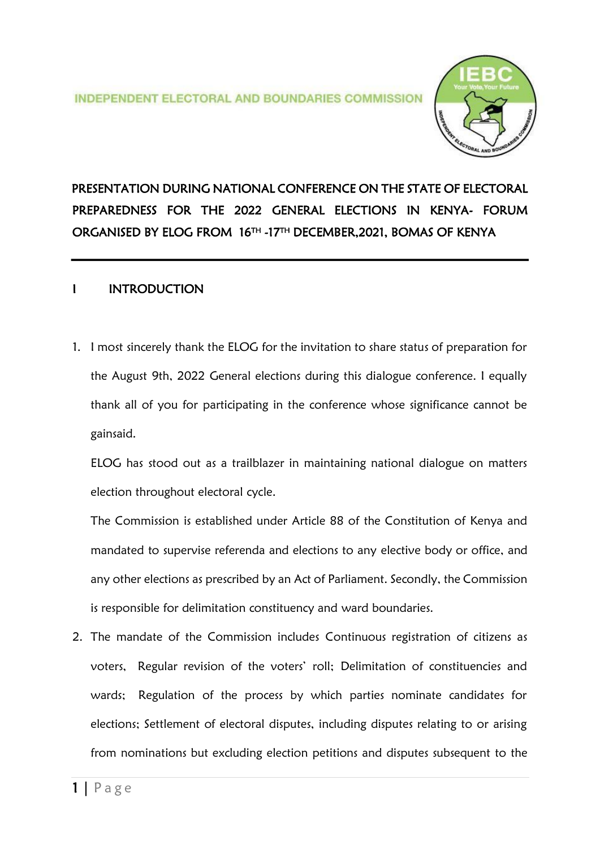

# PRESENTATION DURING NATIONAL CONFERENCE ON THE STATE OF ELECTORAL PREPAREDNESS FOR THE 2022 GENERAL ELECTIONS IN KENYA- FORUM ORGANISED BY ELOG FROM 16TH -17TH DECEMBER,2021, BOMAS OF KENYA

## **INTRODUCTION**

1. I most sincerely thank the ELOG for the invitation to share status of preparation for the August 9th, 2022 General elections during this dialogue conference. I equally thank all of you for participating in the conference whose significance cannot be gainsaid.

ELOG has stood out as a trailblazer in maintaining national dialogue on matters election throughout electoral cycle.

The Commission is established under Article 88 of the Constitution of Kenya and mandated to supervise referenda and elections to any elective body or office, and any other elections as prescribed by an Act of Parliament. Secondly, the Commission is responsible for delimitation constituency and ward boundaries.

2. The mandate of the Commission includes Continuous registration of citizens as voters, Regular revision of the voters' roll; Delimitation of constituencies and wards; Regulation of the process by which parties nominate candidates for elections; Settlement of electoral disputes, including disputes relating to or arising from nominations but excluding election petitions and disputes subsequent to the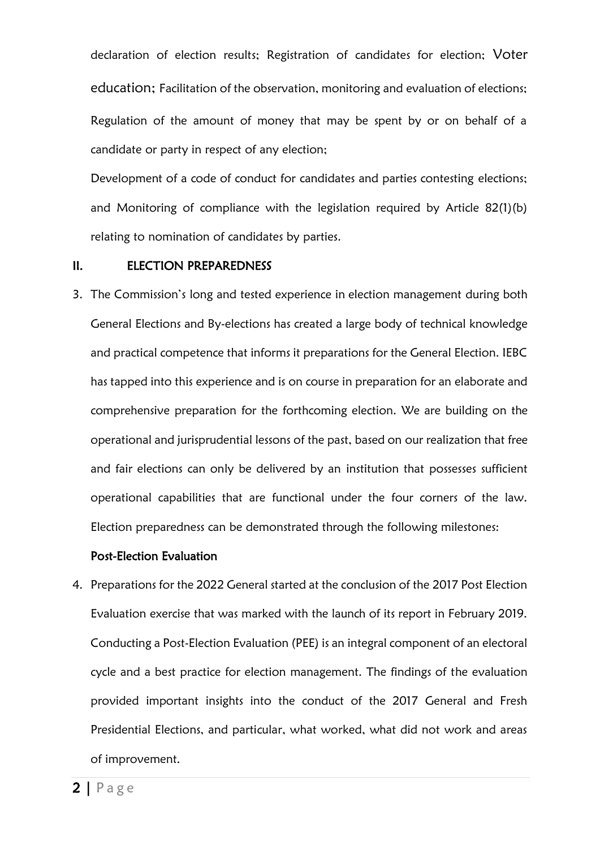declaration of election results; Registration of candidates for election; Voter education; Facilitation of the observation, monitoring and evaluation of elections; Regulation of the amount of money that may be spent by or on behalf of a candidate or party in respect of any election;

Development of a code of conduct for candidates and parties contesting elections; and Monitoring of compliance with the legislation required by Article 82(1)(b) relating to nomination of candidates by parties.

#### II. ELECTION PREPAREDNESS

3. The Commission's long and tested experience in election management during both General Elections and By-elections has created a large body of technical knowledge and practical competence that informs it preparations for the General Election. IEBC has tapped into this experience and is on course in preparation for an elaborate and comprehensive preparation for the forthcoming election. We are building on the operational and jurisprudential lessons of the past, based on our realization that free and fair elections can only be delivered by an institution that possesses sufficient operational capabilities that are functional under the four corners of the law. Election preparedness can be demonstrated through the following milestones:

#### Post-Election Evaluation

4. Preparations for the 2022 General started at the conclusion of the 2017 Post Election Evaluation exercise that was marked with the launch of its report in February 2019. Conducting a Post-Election Evaluation (PEE) is an integral component of an electoral cycle and a best practice for election management. The findings of the evaluation provided important insights into the conduct of the 2017 General and Fresh Presidential Elections, and particular, what worked, what did not work and areas of improvement.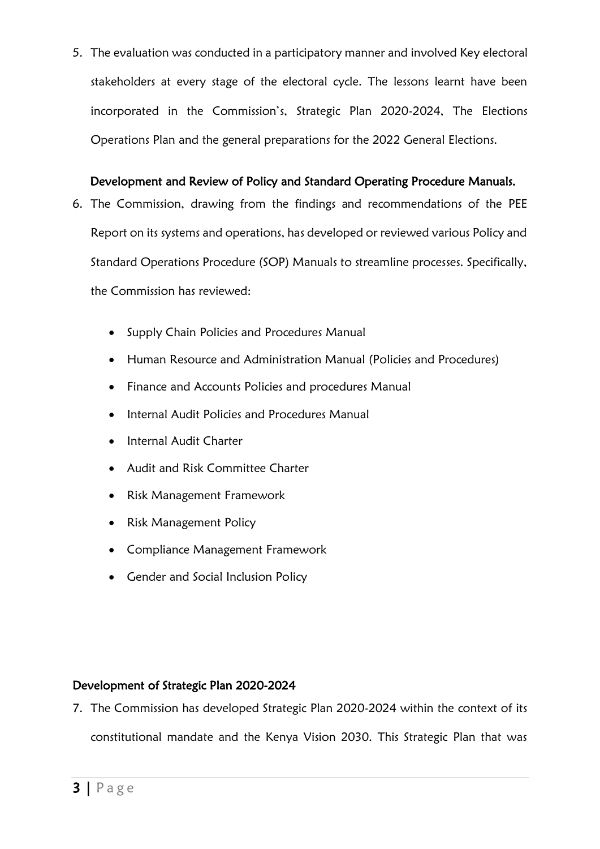5. The evaluation was conducted in a participatory manner and involved Key electoral stakeholders at every stage of the electoral cycle. The lessons learnt have been incorporated in the Commission's, Strategic Plan 2020-2024, The Elections Operations Plan and the general preparations for the 2022 General Elections.

## Development and Review of Policy and Standard Operating Procedure Manuals.

- 6. The Commission, drawing from the findings and recommendations of the PEE Report on its systems and operations, has developed or reviewed various Policy and Standard Operations Procedure (SOP) Manuals to streamline processes. Specifically, the Commission has reviewed:
	- Supply Chain Policies and Procedures Manual
	- Human Resource and Administration Manual (Policies and Procedures)
	- Finance and Accounts Policies and procedures Manual
	- Internal Audit Policies and Procedures Manual
	- Internal Audit Charter
	- Audit and Risk Committee Charter
	- Risk Management Framework
	- Risk Management Policy
	- Compliance Management Framework
	- Gender and Social Inclusion Policy

## Development of Strategic Plan 2020-2024

7. The Commission has developed Strategic Plan 2020-2024 within the context of its constitutional mandate and the Kenya Vision 2030. This Strategic Plan that was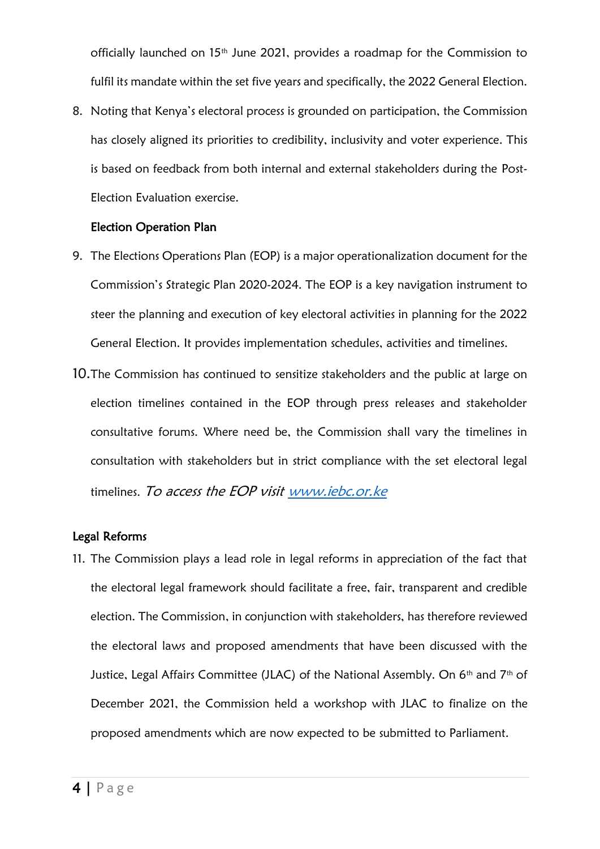officially launched on  $15<sup>th</sup>$  June 2021, provides a roadmap for the Commission to fulfil its mandate within the set five years and specifically, the 2022 General Election.

8. Noting that Kenya's electoral process is grounded on participation, the Commission has closely aligned its priorities to credibility, inclusivity and voter experience. This is based on feedback from both internal and external stakeholders during the Post-Election Evaluation exercise.

#### Election Operation Plan

- 9. The Elections Operations Plan (EOP) is a major operationalization document for the Commission's Strategic Plan 2020-2024. The EOP is a key navigation instrument to steer the planning and execution of key electoral activities in planning for the 2022 General Election. It provides implementation schedules, activities and timelines.
- 10.The Commission has continued to sensitize stakeholders and the public at large on election timelines contained in the EOP through press releases and stakeholder consultative forums. Where need be, the Commission shall vary the timelines in consultation with stakeholders but in strict compliance with the set electoral legal timelines. To access the EOP visit www.jebc.or.ke

## Legal Reforms

11. The Commission plays a lead role in legal reforms in appreciation of the fact that the electoral legal framework should facilitate a free, fair, transparent and credible election. The Commission, in conjunction with stakeholders, has therefore reviewed the electoral laws and proposed amendments that have been discussed with the Justice, Legal Affairs Committee (JLAC) of the National Assembly. On 6<sup>th</sup> and 7<sup>th</sup> of December 2021, the Commission held a workshop with JLAC to finalize on the proposed amendments which are now expected to be submitted to Parliament.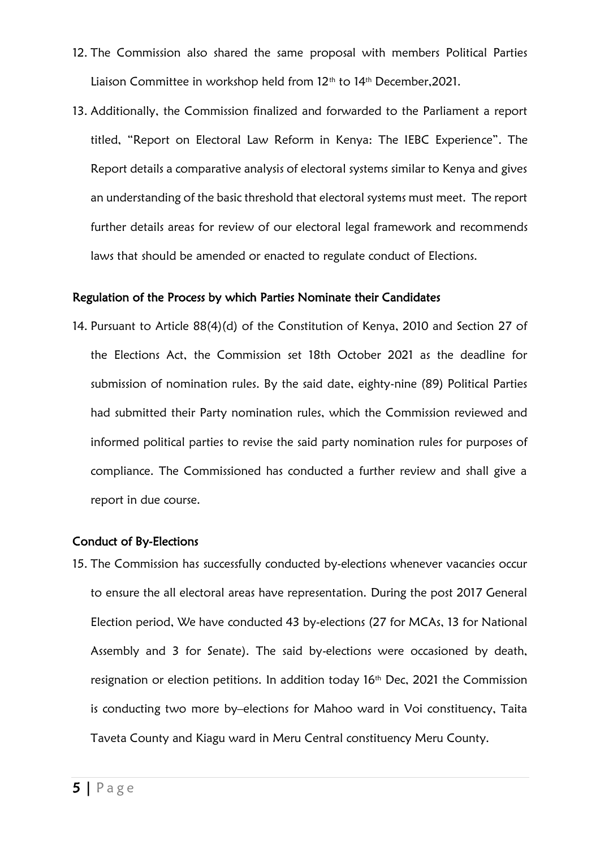- 12. The Commission also shared the same proposal with members Political Parties Liaison Committee in workshop held from 12<sup>th</sup> to 14<sup>th</sup> December, 2021.
- 13. Additionally, the Commission finalized and forwarded to the Parliament a report titled, "Report on Electoral Law Reform in Kenya: The IEBC Experience". The Report details a comparative analysis of electoral systems similar to Kenya and gives an understanding of the basic threshold that electoral systems must meet. The report further details areas for review of our electoral legal framework and recommends laws that should be amended or enacted to regulate conduct of Elections.

#### Regulation of the Process by which Parties Nominate their Candidates

14. Pursuant to Article 88(4)(d) of the Constitution of Kenya, 2010 and Section 27 of the Elections Act, the Commission set 18th October 2021 as the deadline for submission of nomination rules. By the said date, eighty-nine (89) Political Parties had submitted their Party nomination rules, which the Commission reviewed and informed political parties to revise the said party nomination rules for purposes of compliance. The Commissioned has conducted a further review and shall give a report in due course.

#### Conduct of By-Elections

15. The Commission has successfully conducted by-elections whenever vacancies occur to ensure the all electoral areas have representation. During the post 2017 General Election period, We have conducted 43 by-elections (27 for MCAs, 13 for National Assembly and 3 for Senate). The said by-elections were occasioned by death, resignation or election petitions. In addition today 16<sup>th</sup> Dec, 2021 the Commission is conducting two more by–elections for Mahoo ward in Voi constituency, Taita Taveta County and Kiagu ward in Meru Central constituency Meru County.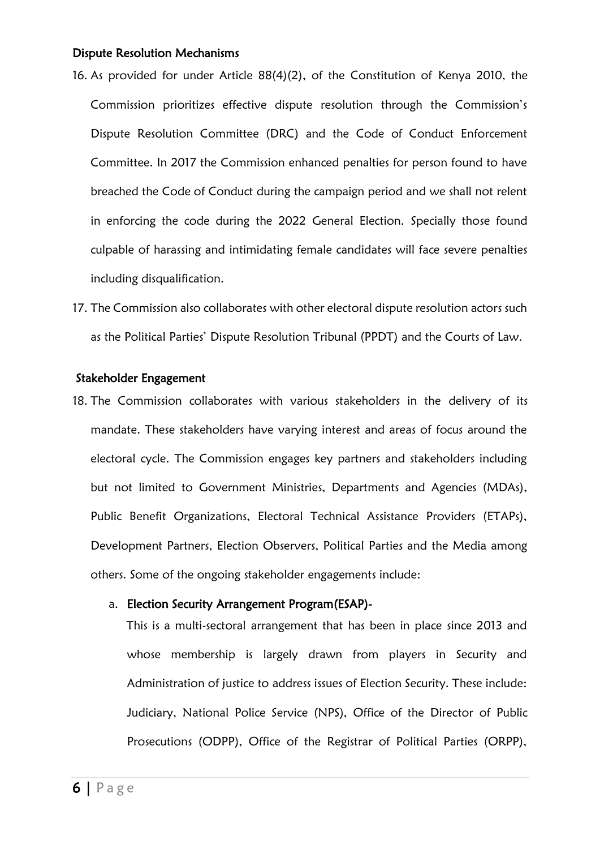#### Dispute Resolution Mechanisms

- 16. As provided for under Article 88(4)(2), of the Constitution of Kenya 2010, the Commission prioritizes effective dispute resolution through the Commission's Dispute Resolution Committee (DRC) and the Code of Conduct Enforcement Committee. In 2017 the Commission enhanced penalties for person found to have breached the Code of Conduct during the campaign period and we shall not relent in enforcing the code during the 2022 General Election. Specially those found culpable of harassing and intimidating female candidates will face severe penalties including disqualification.
- 17. The Commission also collaborates with other electoral dispute resolution actors such as the Political Parties' Dispute Resolution Tribunal (PPDT) and the Courts of Law.

#### Stakeholder Engagement

18. The Commission collaborates with various stakeholders in the delivery of its mandate. These stakeholders have varying interest and areas of focus around the electoral cycle. The Commission engages key partners and stakeholders including but not limited to Government Ministries, Departments and Agencies (MDAs), Public Benefit Organizations, Electoral Technical Assistance Providers (ETAPs), Development Partners, Election Observers, Political Parties and the Media among others. Some of the ongoing stakeholder engagements include:

#### a. Election Security Arrangement Program(ESAP)-

This is a multi-sectoral arrangement that has been in place since 2013 and whose membership is largely drawn from players in Security and Administration of justice to address issues of Election Security. These include: Judiciary, National Police Service (NPS), Office of the Director of Public Prosecutions (ODPP), Office of the Registrar of Political Parties (ORPP),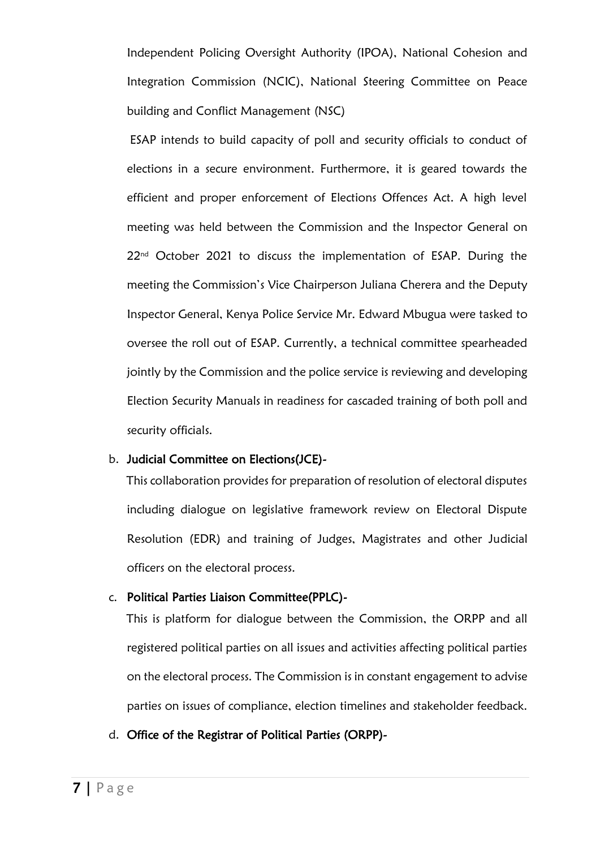Independent Policing Oversight Authority (IPOA), National Cohesion and Integration Commission (NCIC), National Steering Committee on Peace building and Conflict Management (NSC)

ESAP intends to build capacity of poll and security officials to conduct of elections in a secure environment. Furthermore, it is geared towards the efficient and proper enforcement of Elections Offences Act. A high level meeting was held between the Commission and the Inspector General on 22<sup>nd</sup> October 2021 to discuss the implementation of ESAP. During the meeting the Commission's Vice Chairperson Juliana Cherera and the Deputy Inspector General, Kenya Police Service Mr. Edward Mbugua were tasked to oversee the roll out of ESAP. Currently, a technical committee spearheaded jointly by the Commission and the police service is reviewing and developing Election Security Manuals in readiness for cascaded training of both poll and security officials.

#### b. Judicial Committee on Elections(JCE)-

This collaboration provides for preparation of resolution of electoral disputes including dialogue on legislative framework review on Electoral Dispute Resolution (EDR) and training of Judges, Magistrates and other Judicial officers on the electoral process.

## c. Political Parties Liaison Committee(PPLC)-

This is platform for dialogue between the Commission, the ORPP and all registered political parties on all issues and activities affecting political parties on the electoral process. The Commission is in constant engagement to advise parties on issues of compliance, election timelines and stakeholder feedback.

d. Office of the Registrar of Political Parties (ORPP)-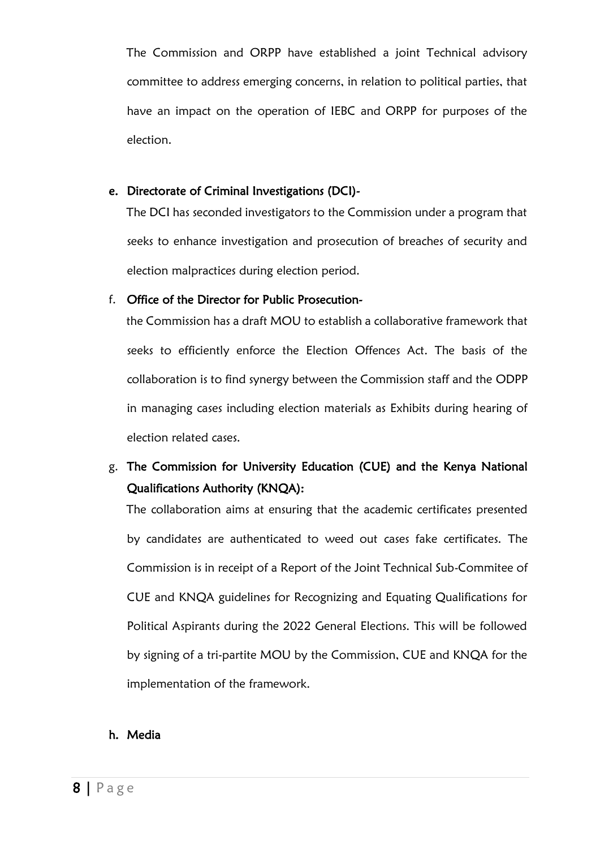The Commission and ORPP have established a joint Technical advisory committee to address emerging concerns, in relation to political parties, that have an impact on the operation of IEBC and ORPP for purposes of the election.

## e. Directorate of Criminal Investigations (DCI)-

The DCI has seconded investigators to the Commission under a program that seeks to enhance investigation and prosecution of breaches of security and election malpractices during election period.

## f. Office of the Director for Public Prosecution-

the Commission has a draft MOU to establish a collaborative framework that seeks to efficiently enforce the Election Offences Act. The basis of the collaboration is to find synergy between the Commission staff and the ODPP in managing cases including election materials as Exhibits during hearing of election related cases.

## g. The Commission for University Education (CUE) and the Kenya National Qualifications Authority (KNQA):

The collaboration aims at ensuring that the academic certificates presented by candidates are authenticated to weed out cases fake certificates. The Commission is in receipt of a Report of the Joint Technical Sub-Commitee of CUE and KNQA guidelines for Recognizing and Equating Qualifications for Political Aspirants during the 2022 General Elections. This will be followed by signing of a tri-partite MOU by the Commission, CUE and KNQA for the implementation of the framework.

## h. Media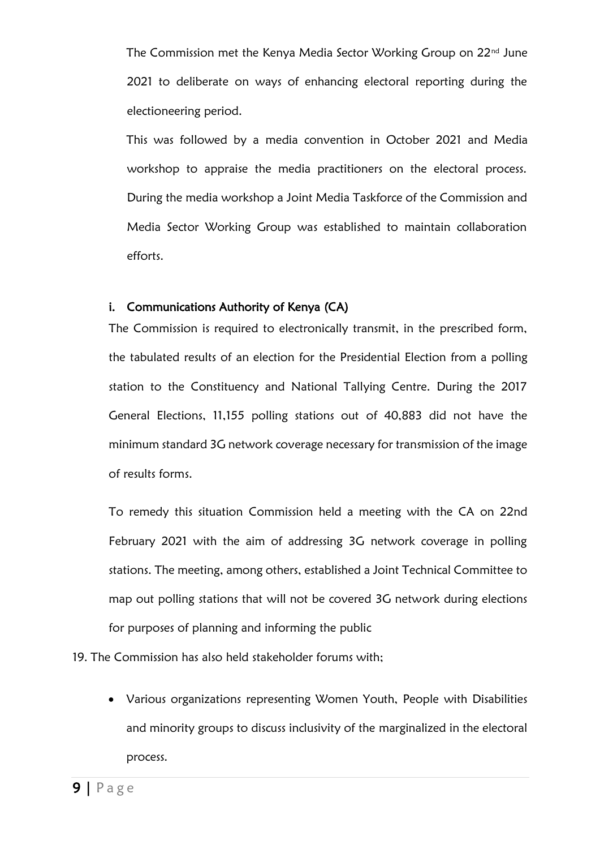The Commission met the Kenya Media Sector Working Group on 22<sup>nd</sup> June 2021 to deliberate on ways of enhancing electoral reporting during the electioneering period.

This was followed by a media convention in October 2021 and Media workshop to appraise the media practitioners on the electoral process. During the media workshop a Joint Media Taskforce of the Commission and Media Sector Working Group was established to maintain collaboration efforts.

## i. Communications Authority of Kenya (CA)

The Commission is required to electronically transmit, in the prescribed form, the tabulated results of an election for the Presidential Election from a polling station to the Constituency and National Tallying Centre. During the 2017 General Elections, 11,155 polling stations out of 40,883 did not have the minimum standard 3G network coverage necessary for transmission of the image of results forms.

To remedy this situation Commission held a meeting with the CA on 22nd February 2021 with the aim of addressing 3G network coverage in polling stations. The meeting, among others, established a Joint Technical Committee to map out polling stations that will not be covered 3G network during elections for purposes of planning and informing the public

19. The Commission has also held stakeholder forums with;

• Various organizations representing Women Youth, People with Disabilities and minority groups to discuss inclusivity of the marginalized in the electoral process.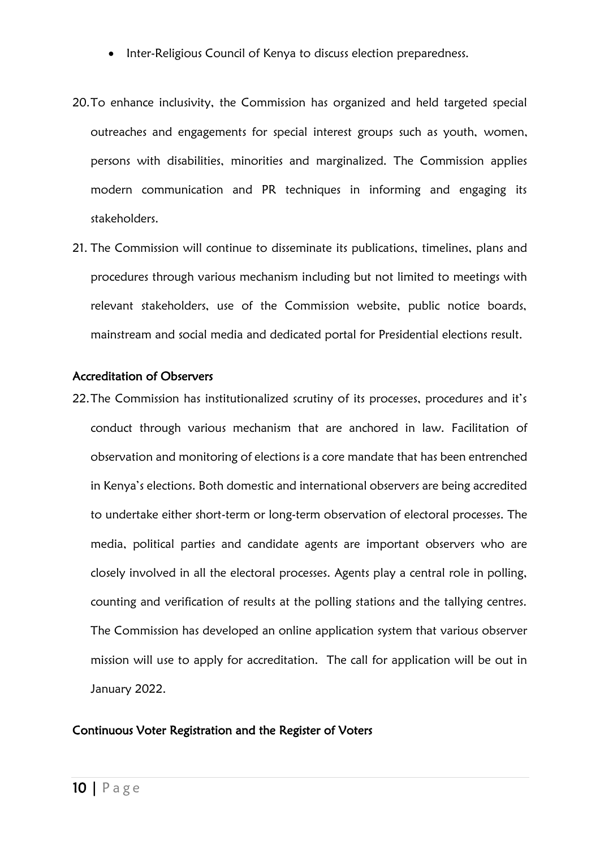- Inter-Religious Council of Kenya to discuss election preparedness.
- 20.To enhance inclusivity, the Commission has organized and held targeted special outreaches and engagements for special interest groups such as youth, women, persons with disabilities, minorities and marginalized. The Commission applies modern communication and PR techniques in informing and engaging its stakeholders.
- 21. The Commission will continue to disseminate its publications, timelines, plans and procedures through various mechanism including but not limited to meetings with relevant stakeholders, use of the Commission website, public notice boards, mainstream and social media and dedicated portal for Presidential elections result.

#### Accreditation of Observers

22. The Commission has institutionalized scrutiny of its processes, procedures and it's conduct through various mechanism that are anchored in law. Facilitation of observation and monitoring of elections is a core mandate that has been entrenched in Kenya's elections. Both domestic and international observers are being accredited to undertake either short-term or long-term observation of electoral processes. The media, political parties and candidate agents are important observers who are closely involved in all the electoral processes. Agents play a central role in polling, counting and verification of results at the polling stations and the tallying centres. The Commission has developed an online application system that various observer mission will use to apply for accreditation. The call for application will be out in January 2022.

#### Continuous Voter Registration and the Register of Voters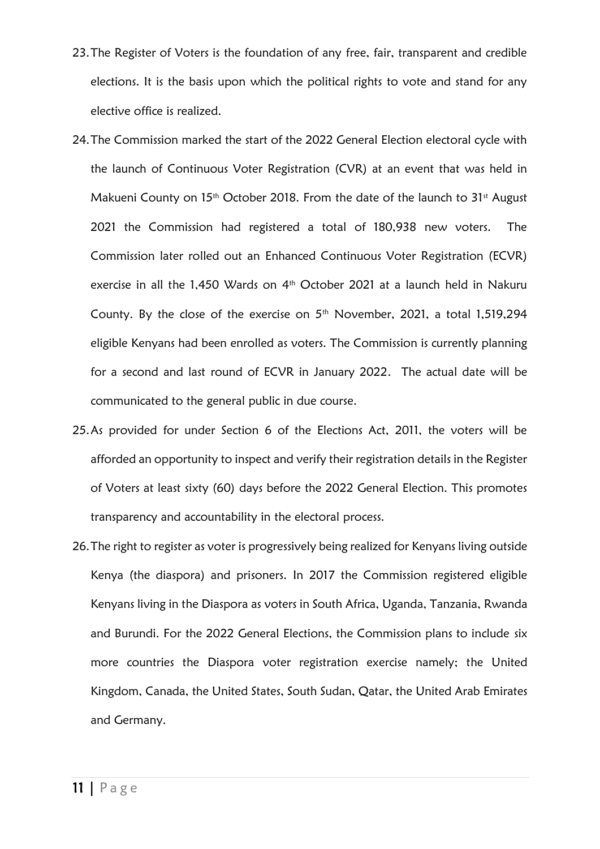- 23.The Register of Voters is the foundation of any free, fair, transparent and credible elections. It is the basis upon which the political rights to vote and stand for any elective office is realized.
- 24.The Commission marked the start of the 2022 General Election electoral cycle with the launch of Continuous Voter Registration (CVR) at an event that was held in Makueni County on 15<sup>th</sup> October 2018. From the date of the launch to 31<sup>st</sup> August 2021 the Commission had registered a total of 180,938 new voters. The Commission later rolled out an Enhanced Continuous Voter Registration (ECVR) exercise in all the 1,450 Wards on 4 th October 2021 at a launch held in Nakuru County. By the close of the exercise on  $5<sup>th</sup>$  November, 2021, a total 1,519,294 eligible Kenyans had been enrolled as voters. The Commission is currently planning for a second and last round of ECVR in January 2022. The actual date will be communicated to the general public in due course.
- 25.As provided for under Section 6 of the Elections Act, 2011, the voters will be afforded an opportunity to inspect and verify their registration details in the Register of Voters at least sixty (60) days before the 2022 General Election. This promotes transparency and accountability in the electoral process.
- 26.The right to register as voter is progressively being realized for Kenyans living outside Kenya (the diaspora) and prisoners. In 2017 the Commission registered eligible Kenyans living in the Diaspora as voters in South Africa, Uganda, Tanzania, Rwanda and Burundi. For the 2022 General Elections, the Commission plans to include six more countries the Diaspora voter registration exercise namely; the United Kingdom, Canada, the United States, South Sudan, Qatar, the United Arab Emirates and Germany.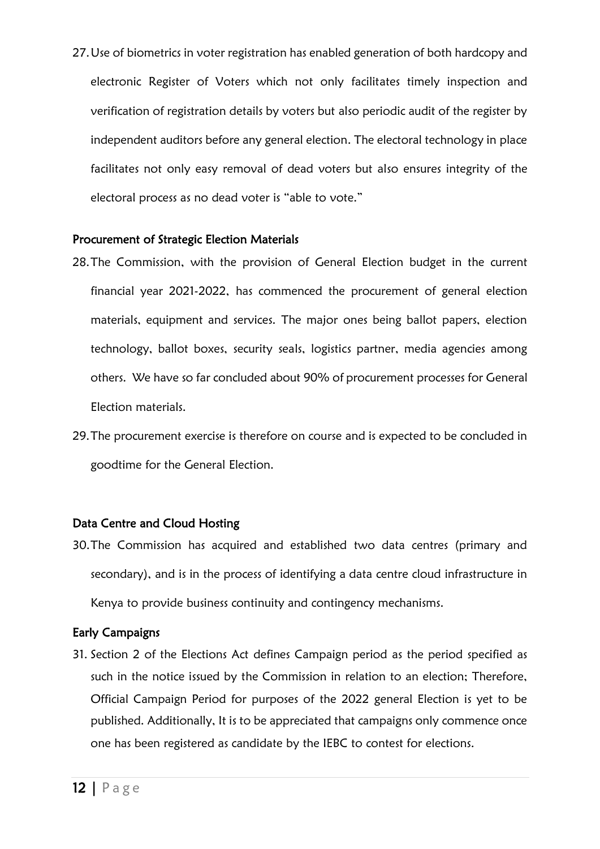27.Use of biometrics in voter registration has enabled generation of both hardcopy and electronic Register of Voters which not only facilitates timely inspection and verification of registration details by voters but also periodic audit of the register by independent auditors before any general election. The electoral technology in place facilitates not only easy removal of dead voters but also ensures integrity of the electoral process as no dead voter is "able to vote."

## Procurement of Strategic Election Materials

- 28.The Commission, with the provision of General Election budget in the current financial year 2021-2022, has commenced the procurement of general election materials, equipment and services. The major ones being ballot papers, election technology, ballot boxes, security seals, logistics partner, media agencies among others. We have so far concluded about 90% of procurement processes for General Election materials.
- 29.The procurement exercise is therefore on course and is expected to be concluded in goodtime for the General Election.

## Data Centre and Cloud Hosting

30.The Commission has acquired and established two data centres (primary and secondary), and is in the process of identifying a data centre cloud infrastructure in Kenya to provide business continuity and contingency mechanisms.

## Early Campaigns

31. Section 2 of the Elections Act defines Campaign period as the period specified as such in the notice issued by the Commission in relation to an election; Therefore, Official Campaign Period for purposes of the 2022 general Election is yet to be published. Additionally, It is to be appreciated that campaigns only commence once one has been registered as candidate by the IEBC to contest for elections.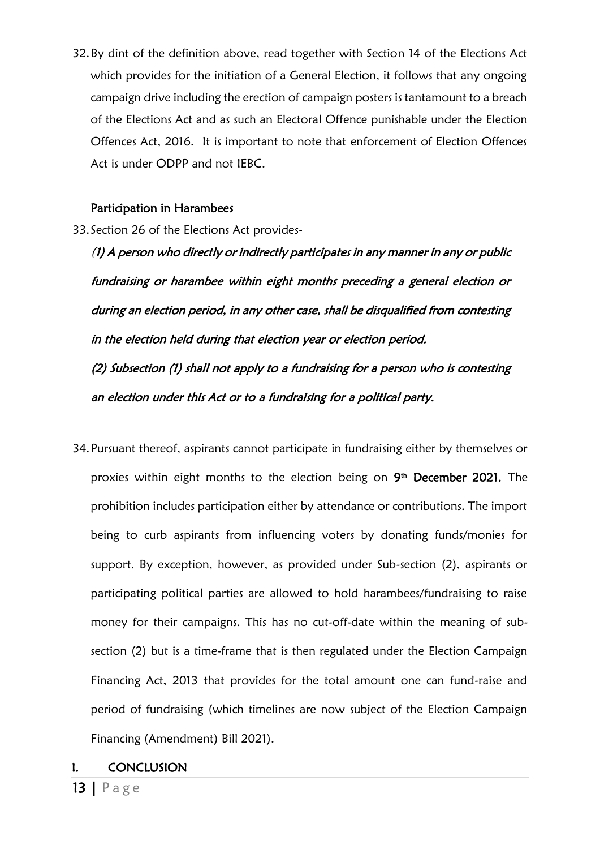32.By dint of the definition above, read together with Section 14 of the Elections Act which provides for the initiation of a General Election, it follows that any ongoing campaign drive including the erection of campaign posters is tantamount to a breach of the Elections Act and as such an Electoral Offence punishable under the Election Offences Act, 2016. It is important to note that enforcement of Election Offences Act is under ODPP and not IEBC.

## Participation in Harambees

33.Section 26 of the Elections Act provides-

(1) A person who directly or indirectly participates in any manner in any or public fundraising or harambee within eight months preceding a general election or during an election period, in any other case, shall be disqualified from contesting in the election held during that election year or election period.

(2) Subsection (1) shall not apply to a fundraising for a person who is contesting an election under this Act or to a fundraising for a political party.

34.Pursuant thereof, aspirants cannot participate in fundraising either by themselves or proxies within eight months to the election being on 9<sup>th</sup> December 2021. The prohibition includes participation either by attendance or contributions. The import being to curb aspirants from influencing voters by donating funds/monies for support. By exception, however, as provided under Sub-section (2), aspirants or participating political parties are allowed to hold harambees/fundraising to raise money for their campaigns. This has no cut-off-date within the meaning of subsection (2) but is a time-frame that is then regulated under the Election Campaign Financing Act, 2013 that provides for the total amount one can fund-raise and period of fundraising (which timelines are now subject of the Election Campaign Financing (Amendment) Bill 2021).

## I. CONCLUSION